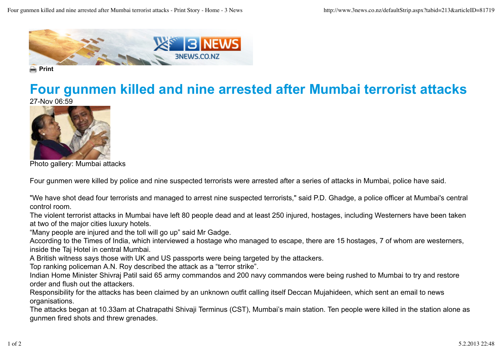

**■** Print

## **Four gunmen killed and nine arrested after Mumbai terrorist attacks**

27-Nov 06:59



Photo gallery: Mumbai attacks

Four gunmen were killed by police and nine suspected terrorists were arrested after a series of attacks in Mumbai, police have said.

"We have shot dead four terrorists and managed to arrest nine suspected terrorists," said P.D. Ghadge, a police officer at Mumbai's central control room.

The violent terrorist attacks in Mumbai have left 80 people dead and at least 250 injured, hostages, including Westerners have been taken at two of the major cities luxury hotels.

"Many people are injured and the toll will go up" said Mr Gadge.

According to the Times of India, which interviewed a hostage who managed to escape, there are 15 hostages, 7 of whom are westerners, inside the Taj Hotel in central Mumbai.

A British witness says those with UK and US passports were being targeted by the attackers.

Top ranking policeman A.N. Roy described the attack as a "terror strike".

Indian Home Minister Shivraj Patil said 65 army commandos and 200 navy commandos were being rushed to Mumbai to try and restore order and flush out the attackers.

Responsibility for the attacks has been claimed by an unknown outfit calling itself Deccan Mujahideen, which sent an email to news organisations.

The attacks began at 10.33am at Chatrapathi Shivaji Terminus (CST), Mumbai's main station. Ten people were killed in the station alone as gunmen fired shots and threw grenades.